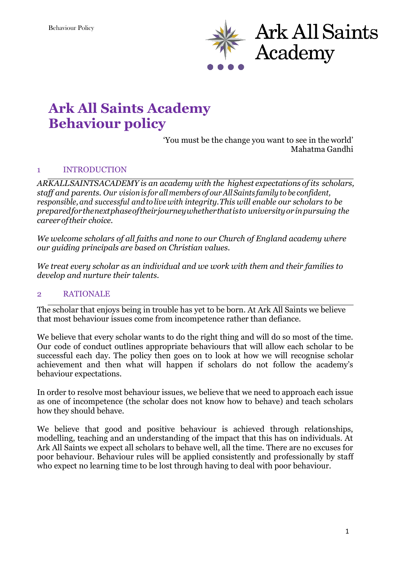

# **Ark All Saints Academy Behaviour policy**

'You must be the change you want to see in the world' Mahatma Gandhi

## 1 INTRODUCTION

*ARKALLSAINTSACADEMY is an academy with the highest expectations of its scholars, staff and parents. Our visionis for all members of ourAll Saints family to be confident, responsible, and successful and to live with integrity.This will enable our scholars to be preparedforthenextphaseoftheirjourneywhetherthatisto universityorinpursuing the careeroftheir choice.*

*We welcome scholars of all faiths and none to our Church of England academy where our guiding principals are based on Christian values.* 

*We treat every scholar as an individual and we work with them and their families to develop and nurture their talents.*

#### 2 RATIONALE

The scholar that enjoys being in trouble has yet to be born. At Ark All Saints we believe that most behaviour issues come from incompetence rather than defiance.

We believe that every scholar wants to do the right thing and will do so most of the time. Our code of conduct outlines appropriate behaviours that will allow each scholar to be successful each day. The policy then goes on to look at how we will recognise scholar achievement and then what will happen if scholars do not follow the academy's behaviour expectations.

In order to resolve most behaviour issues, we believe that we need to approach each issue as one of incompetence (the scholar does not know how to behave) and teach scholars how they should behave.

We believe that good and positive behaviour is achieved through relationships, modelling, teaching and an understanding of the impact that this has on individuals. At Ark All Saints we expect all scholars to behave well, all the time. There are no excuses for poor behaviour. Behaviour rules will be applied consistently and professionally by staff who expect no learning time to be lost through having to deal with poor behaviour.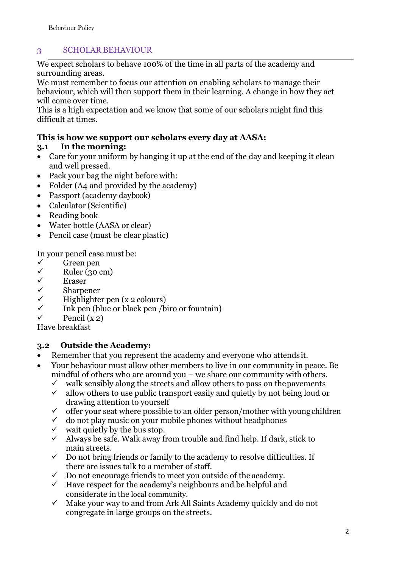## 3 SCHOLAR BEHAVIOUR

We expect scholars to behave 100% of the time in all parts of the academy and surrounding areas.

We must remember to focus our attention on enabling scholars to manage their behaviour, which will then support them in their learning. A change in how they act will come over time.

This is a high expectation and we know that some of our scholars might find this difficult at times.

## **This is how we support our scholars every day at AASA:**

## **3.1 In the morning:**

- Care for your uniform by hanging it up at the end of the day and keeping it clean and well pressed.
- Pack your bag the night before with:
- Folder (A4 and provided by the academy)
- Passport (academy daybook)
- Calculator (Scientific)
- Reading book
- Water bottle (AASA or clear)
- Pencil case (must be clear plastic)

In your pencil case must be:

- ✓ Green pen
- $\checkmark$  Ruler (30 cm)<br> $\checkmark$  Eraser
- ✓ Eraser
- ✓ Sharpener
- ✓ Highlighter pen (x 2 colours)
- $\checkmark$  Ink pen (blue or black pen /biro or fountain)
- Pencil  $(x_2)$

Have breakfast

## **3.2 Outside the Academy:**

- Remember that you represent the academy and everyone who attends it.
- Your behaviour must allow other members to live in our community in peace. Be mindful of others who are around you – we share our community with others.
	- $\checkmark$  walk sensibly along the streets and allow others to pass on the pavements  $\checkmark$  allow others to use public transport easily and quietly by not being loud on
	- ✓ allow others to use public transport easily and quietly by not being loud or drawing attention to yourself
	- $\checkmark$  offer your seat where possible to an older person/mother with young children
	- $\checkmark$  do not play music on your mobile phones without headphones
	- $\checkmark$  wait quietly by the bus stop.
	- $\checkmark$  Always be safe. Walk away from trouble and find help. If dark, stick to main streets.
	- $\checkmark$  Do not bring friends or family to the academy to resolve difficulties. If there are issues talk to a member of staff.
	- $\checkmark$  Do not encourage friends to meet you outside of the academy.
	- ✓ Have respect for the academy's neighbours and be helpful and considerate in the local community.
	- $\checkmark$  Make your way to and from Ark All Saints Academy quickly and do not congregate in large groups on the streets.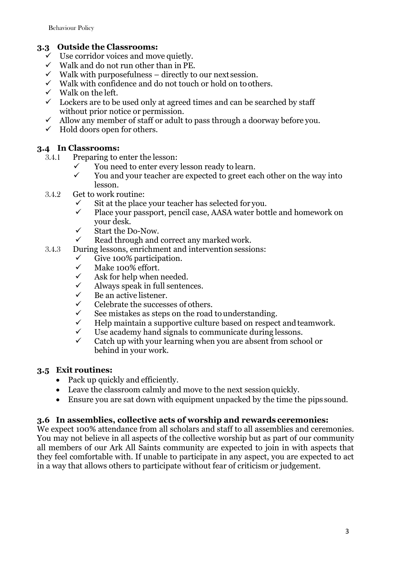## **3.3 Outside the Classrooms:**

- Use corridor voices and move quietly.
- $\checkmark$  Walk and do not run other than in PE.
- $\checkmark$  Walk with purposefulness directly to our next session.
- ✓ Walk with confidence and do not touch or hold on to others.
- $\checkmark$  Walk on the left.
- $\checkmark$  Lockers are to be used only at agreed times and can be searched by staff without prior notice or permission.
- $\checkmark$  Allow any member of staff or adult to pass through a doorway before you.
- $\checkmark$  Hold doors open for others.

## **3.4 In Classrooms:**

- 3.4.1 Preparing to enter the lesson:
	- ✓ You need to enter every lesson ready to learn.
	- $\checkmark$  You and your teacher are expected to greet each other on the way into lesson.
- 3.4.2 Get to work routine:
	- $\checkmark$  Sit at the place your teacher has selected for you.<br> $\checkmark$  Place your passport, pencil case, AASA water bot
	- Place your passport, pencil case, AASA water bottle and homework on your desk.
	- ✓ Start the Do-Now.
	- $\checkmark$  Read through and correct any marked work.
- 3.4.3 During lessons, enrichment and intervention sessions:
	- $\checkmark$  Give 100% participation.<br> $\checkmark$  Make 100% effort
	- $\checkmark$  Make 100% effort.<br> $\checkmark$  Ask for help when
	- Ask for help when needed.
	- Always speak in full sentences.
	- Be an active listener.
	- Celebrate the successes of others.
	- $\checkmark$  See mistakes as steps on the road to understanding.<br> $\checkmark$  Help maintain a supportive culture based on respective
	- Help maintain a supportive culture based on respect and teamwork.
	- $\checkmark$  Use academy hand signals to communicate during lessons.<br> $\checkmark$  Catch un with your learning when you are absent from scho
	- Catch up with your learning when you are absent from school or behind in your work.

## **3.5 Exit routines:**

- Pack up quickly and efficiently.
- Leave the classroom calmly and move to the next session quickly.
- Ensure you are sat down with equipment unpacked by the time the pips sound.

## **3.6 In assemblies, collective acts of worship and rewards ceremonies:**

We expect 100% attendance from all scholars and staff to all assemblies and ceremonies. You may not believe in all aspects of the collective worship but as part of our community all members of our Ark All Saints community are expected to join in with aspects that they feel comfortable with. If unable to participate in any aspect, you are expected to act in a way that allows others to participate without fear of criticism or judgement.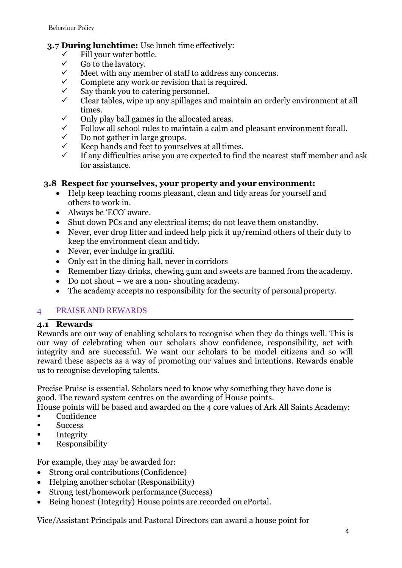## **3.7 During lunchtime:** Use lunch time effectively:

- $\checkmark$  Fill your water bottle.<br> $\checkmark$  Go to the lavatory.
- $\checkmark$  Go to the lavatory.<br> $\checkmark$  Meet with any men
- $\checkmark$  Meet with any member of staff to address any concerns.<br> $\checkmark$  Complete any work or revision that is required
- Complete any work or revision that is required.
- $\checkmark$  Say thank you to catering personnel.
- $\checkmark$  Clear tables, wipe up any spillages and maintain an orderly environment at all times.
- $\checkmark$  Only play ball games in the allocated areas.<br> $\checkmark$  Follow all school rules to maintain a calm as
- Follow all school rules to maintain a calm and pleasant environment forall.
- $\checkmark$  Do not gather in large groups.<br> $\checkmark$  Keep hands and feet to yourse
- $\checkmark$  Keep hands and feet to yourselves at all times.<br> $\checkmark$  If any difficulties arise you are expected to find
- If any difficulties arise you are expected to find the nearest staff member and ask for assistance.

## **3.8 Respect for yourselves, your property and your environment:**

- Help keep teaching rooms pleasant, clean and tidy areas for yourself and others to work in.
- Always be 'ECO' aware.
- Shut down PCs and any electrical items; do not leave them on standby.
- Never, ever drop litter and indeed help pick it up/remind others of their duty to keep the environment clean and tidy.
- Never, ever indulge in graffiti.
- Only eat in the dining hall, never in corridors
- Remember fizzy drinks, chewing gum and sweets are banned from the academy.
- Do not shout we are a non-shouting academy.
- The academy accepts no responsibility for the security of personal property.

#### 4 PRAISE AND REWARDS

#### **4.1 Rewards**

Rewards are our way of enabling scholars to recognise when they do things well. This is our way of celebrating when our scholars show confidence, responsibility, act with integrity and are successful. We want our scholars to be model citizens and so will reward these aspects as a way of promoting our values and intentions. Rewards enable us to recognise developing talents.

Precise Praise is essential. Scholars need to know why something they have done is good. The reward system centres on the awarding of House points.

House points will be based and awarded on the 4 core values of Ark All Saints Academy:

- **Confidence**
- Success
- Integrity
- **EXECUTE:** Responsibility

For example, they may be awarded for:

- Strong oral contributions (Confidence)
- Helping another scholar (Responsibility)
- Strong test/homework performance (Success)
- Being honest (Integrity) House points are recorded on ePortal.

Vice/Assistant Principals and Pastoral Directors can award a house point for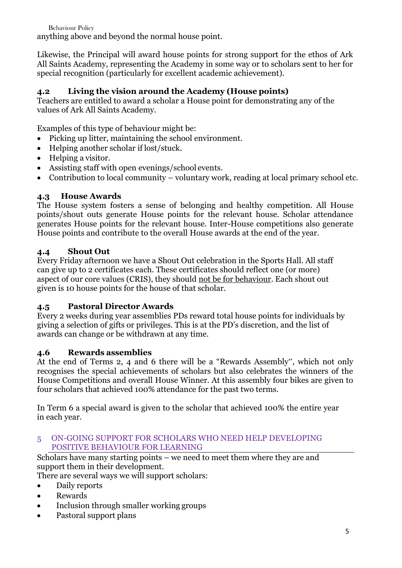Behaviour Policy anything above and beyond the normal house point.

Likewise, the Principal will award house points for strong support for the ethos of Ark All Saints Academy, representing the Academy in some way or to scholars sent to her for special recognition (particularly for excellent academic achievement).

## **4.2 Living the vision around the Academy (House points)**

Teachers are entitled to award a scholar a House point for demonstrating any of the values of Ark All Saints Academy.

Examples of this type of behaviour might be:

- Picking up litter, maintaining the school environment.
- Helping another scholar if lost/stuck.
- Helping a visitor.
- Assisting staff with open evenings/school events.
- Contribution to local community voluntary work, reading at local primary school etc.

## **4.3 House Awards**

The House system fosters a sense of belonging and healthy competition. All House points/shout outs generate House points for the relevant house. Scholar attendance generates House points for the relevant house. Inter-House competitions also generate House points and contribute to the overall House awards at the end of the year.

## **4.4 Shout Out**

Every Friday afternoon we have a Shout Out celebration in the Sports Hall. All staff can give up to 2 certificates each. These certificates should reflect one (or more) aspect of our core values (CRIS), they should not be for behaviour. Each shout out given is 10 house points for the house of that scholar.

## **4.5 Pastoral Director Awards**

Every 2 weeks during year assemblies PDs reward total house points for individuals by giving a selection of gifts or privileges. This is at the PD's discretion, and the list of awards can change or be withdrawn at any time.

## **4.6 Rewards assemblies**

At the end of Terms 2, 4 and 6 there will be a "Rewards Assembly", which not only recognises the special achievements of scholars but also celebrates the winners of the House Competitions and overall House Winner. At this assembly four bikes are given to four scholars that achieved 100% attendance for the past two terms.

In Term 6 a special award is given to the scholar that achieved 100% the entire year in each year.

#### 5 ON-GOING SUPPORT FOR SCHOLARS WHO NEED HELP DEVELOPING POSITIVE BEHAVIOUR FOR LEARNING

Scholars have many starting points – we need to meet them where they are and support them in their development.

There are several ways we will support scholars:

- Daily reports
- Rewards
- Inclusion through smaller working groups
- Pastoral support plans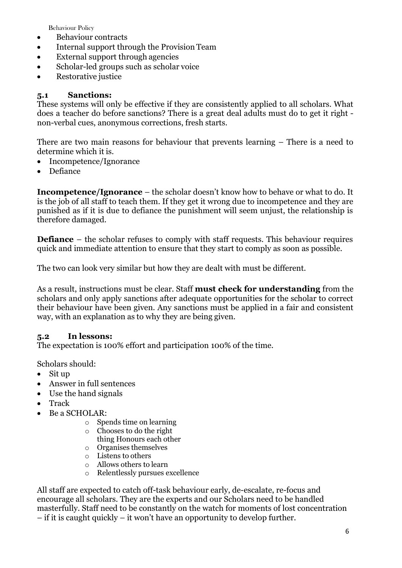- Behaviour contracts
- Internal support through the Provision Team
- External support through agencies
- Scholar-led groups such as scholar voice
- Restorative justice

#### **5.1 Sanctions:**

These systems will only be effective if they are consistently applied to all scholars. What does a teacher do before sanctions? There is a great deal adults must do to get it right non-verbal cues, anonymous corrections, fresh starts.

There are two main reasons for behaviour that prevents learning – There is a need to determine which it is.

- Incompetence/Ignorance
- Defiance

**Incompetence/Ignorance** – the scholar doesn't know how to behave or what to do. It is the job of all staff to teach them. If they get it wrong due to incompetence and they are punished as if it is due to defiance the punishment will seem unjust, the relationship is therefore damaged.

**Defiance** – the scholar refuses to comply with staff requests. This behaviour requires quick and immediate attention to ensure that they start to comply as soon as possible.

The two can look very similar but how they are dealt with must be different.

As a result, instructions must be clear. Staff **must check for understanding** from the scholars and only apply sanctions after adequate opportunities for the scholar to correct their behaviour have been given. Any sanctions must be applied in a fair and consistent way, with an explanation as to why they are being given.

## **5.2 In lessons:**

The expectation is 100% effort and participation 100% of the time.

Scholars should:

- Sit up
- Answer in full sentences
- Use the hand signals
- Track
- Be a SCHOLAR:
	- o Spends time on learning
	- o Chooses to do the right
		- thing Honours each other
	- o Organises themselves
	- o Listens to others
	- o Allows others to learn
	- o Relentlessly pursues excellence

All staff are expected to catch off-task behaviour early, de-escalate, re-focus and encourage all scholars. They are the experts and our Scholars need to be handled masterfully. Staff need to be constantly on the watch for moments of lost concentration – if it is caught quickly – it won't have an opportunity to develop further.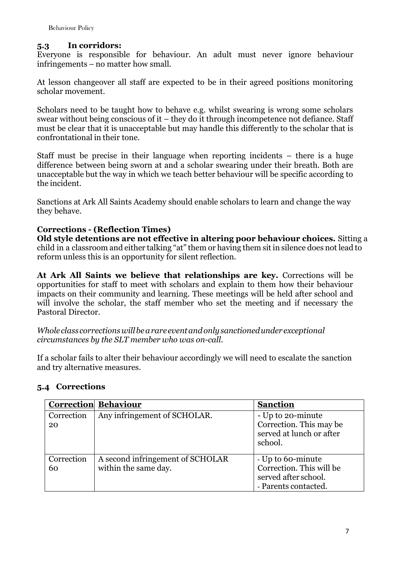## **5.3 In corridors:**

Everyone is responsible for behaviour. An adult must never ignore behaviour infringements – no matter how small.

At lesson changeover all staff are expected to be in their agreed positions monitoring scholar movement.

Scholars need to be taught how to behave e.g. whilst swearing is wrong some scholars swear without being conscious of it – they do it through incompetence not defiance. Staff must be clear that it is unacceptable but may handle this differently to the scholar that is confrontational in their tone.

Staff must be precise in their language when reporting incidents – there is a huge difference between being sworn at and a scholar swearing under their breath. Both are unacceptable but the way in which we teach better behaviour will be specific according to the incident.

Sanctions at Ark All Saints Academy should enable scholars to learn and change the way they behave.

## **Corrections - (Reflection Times)**

**Old style detentions are not effective in altering poor behaviour choices.** Sitting a child in a classroom and either talking "at" them or having them sit in silence does not lead to reform unless this is an opportunity for silent reflection.

**At Ark All Saints we believe that relationships are key.** Corrections will be opportunities for staff to meet with scholars and explain to them how their behaviour impacts on their community and learning. These meetings will be held after school and will involve the scholar, the staff member who set the meeting and if necessary the Pastoral Director.

*Whole class correctionswillbearare eventandonlysanctionedunder exceptional circumstances by the SLT member who was on-call.*

If a scholar fails to alter their behaviour accordingly we will need to escalate the sanction and try alternative measures.

## **5.4 Corrections**

|                  | <b>Correction Behaviour</b>                              | <b>Sanction</b>                                                                               |
|------------------|----------------------------------------------------------|-----------------------------------------------------------------------------------------------|
| Correction<br>20 | Any infringement of SCHOLAR.                             | - Up to 20-minute<br>Correction. This may be<br>served at lunch or after<br>school.           |
| Correction<br>60 | A second infringement of SCHOLAR<br>within the same day. | - Up to 60-minute<br>Correction. This will be<br>served after school.<br>- Parents contacted. |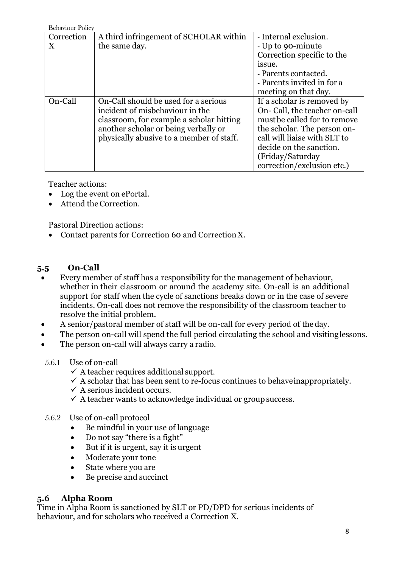| <b>Behaviour Policy</b> |                                          |                               |
|-------------------------|------------------------------------------|-------------------------------|
| Correction              | A third infringement of SCHOLAR within   | - Internal exclusion.         |
| X                       | the same day.                            | - Up to 90-minute             |
|                         |                                          | Correction specific to the    |
|                         |                                          | issue.                        |
|                         |                                          | - Parents contacted.          |
|                         |                                          | - Parents invited in for a    |
|                         |                                          | meeting on that day.          |
| On-Call                 | On-Call should be used for a serious     | If a scholar is removed by    |
|                         | incident of misbehaviour in the          | On- Call, the teacher on-call |
|                         | classroom, for example a scholar hitting | must be called for to remove  |
|                         | another scholar or being verbally or     | the scholar. The person on-   |
|                         | physically abusive to a member of staff. | call will liaise with SLT to  |
|                         |                                          | decide on the sanction.       |
|                         |                                          | (Friday/Saturday)             |
|                         |                                          | correction/exclusion etc.)    |

Teacher actions:

- Log the event on ePortal.
- Attend the Correction.

Pastoral Direction actions:

• Contact parents for Correction 60 and CorrectionX.

## **5.5 On-Call**

- Every member of staff has a responsibility for the management of behaviour, whether in their classroom or around the academy site. On-call is an additional support for staff when the cycle of sanctions breaks down or in the case of severe incidents. On-call does not remove the responsibility of the classroom teacher to resolve the initial problem.
- A senior/pastoral member of staff will be on-call for every period of theday.
- The person on-call will spend the full period circulating the school and visitinglessons.
- The person on-call will always carry a radio.
- 5.6.1 Use of on-call
	- $\checkmark$  A teacher requires additional support.
	- $\checkmark$  A scholar that has been sent to re-focus continues to behave inappropriately.
	- $\checkmark$  A serious incident occurs.
	- $\checkmark$  A teacher wants to acknowledge individual or group success.
- 5.6.2 Use of on-call protocol
	- Be mindful in your use of language
	- Do not say "there is a fight"
	- But if it is urgent, say it is urgent
	- Moderate your tone
	- State where you are
	- Be precise and succinct

## **5.6 Alpha Room**

Time in Alpha Room is sanctioned by SLT or PD/DPD for serious incidents of behaviour, and for scholars who received a Correction X.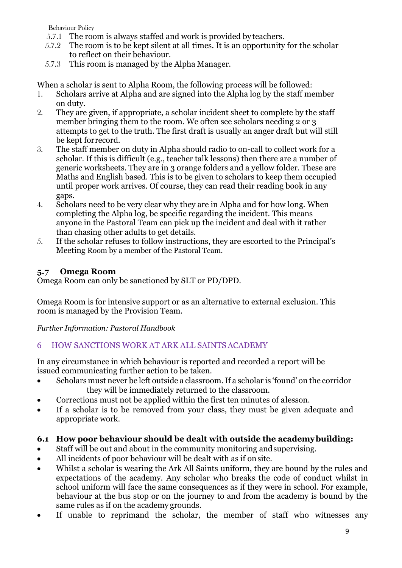- 5.7.1 The room is always staffed and work is provided by teachers.
- 5.7.2 The room is to be kept silent at all times. It is an opportunity for the scholar to reflect on their behaviour.
- 5.7.3 This room is managed by the Alpha Manager.

When a scholar is sent to Alpha Room, the following process will be followed:

- 1. Scholars arrive at Alpha and are signed into the Alpha log by the staff member on duty.
- 2. They are given, if appropriate, a scholar incident sheet to complete by the staff member bringing them to the room. We often see scholars needing 2 or 3 attempts to get to the truth. The first draft is usually an anger draft but will still be kept forrecord.
- 3. The staff member on duty in Alpha should radio to on-call to collect work for a scholar. If this is difficult (e.g., teacher talk lessons) then there are a number of generic worksheets. They are in 3 orange folders and a yellow folder. These are Maths and English based. This is to be given to scholars to keep them occupied until proper work arrives. Of course, they can read their reading book in any gaps.
- 4. Scholars need to be very clear why they are in Alpha and for how long. When completing the Alpha log, be specific regarding the incident. This means anyone in the Pastoral Team can pick up the incident and deal with it rather than chasing other adults to get details.
- 5. If the scholar refuses to follow instructions, they are escorted to the Principal's Meeting Room by a member of the Pastoral Team.

## **5.7 Omega Room**

Omega Room can only be sanctioned by SLT or PD/DPD.

Omega Room is for intensive support or as an alternative to external exclusion. This room is managed by the Provision Team.

*Further Information: Pastoral Handbook*

## 6 HOW SANCTIONS WORK AT ARK ALL SAINTS ACADEMY

In any circumstance in which behaviour is reported and recorded a report will be issued communicating further action to be taken.

- Scholars must never be left outside a classroom. If a scholar is 'found' on the corridor they will be immediately returned to the classroom.
- Corrections must not be applied within the first ten minutes of alesson.
- If a scholar is to be removed from your class, they must be given adequate and appropriate work.

## **6.1 How poor behaviour should be dealt with outside the academybuilding:**

- Staff will be out and about in the community monitoring andsupervising.
- All incidents of poor behaviour will be dealt with as if onsite.
- Whilst a scholar is wearing the Ark All Saints uniform, they are bound by the rules and expectations of the academy. Any scholar who breaks the code of conduct whilst in school uniform will face the same consequences as if they were in school. For example, behaviour at the bus stop or on the journey to and from the academy is bound by the same rules as if on the academy grounds.
- If unable to reprimand the scholar, the member of staff who witnesses any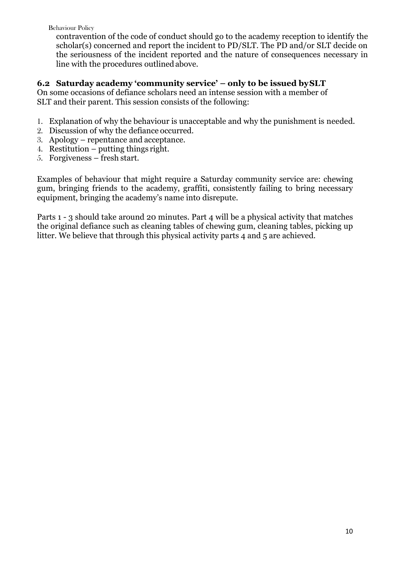contravention of the code of conduct should go to the academy reception to identify the scholar(s) concerned and report the incident to PD/SLT. The PD and/or SLT decide on the seriousness of the incident reported and the nature of consequences necessary in line with the procedures outlinedabove.

## **6.2 Saturday academy 'community service' – only to be issued bySLT**

On some occasions of defiance scholars need an intense session with a member of SLT and their parent. This session consists of the following:

- 1. Explanation of why the behaviour is unacceptable and why the punishment is needed.
- 2. Discussion of why the defiance occurred.
- 3. Apology repentance and acceptance.
- 4. Restitution putting things right.
- 5. Forgiveness fresh start.

Examples of behaviour that might require a Saturday community service are: chewing gum, bringing friends to the academy, graffiti, consistently failing to bring necessary equipment, bringing the academy's name into disrepute.

Parts 1 - 3 should take around 20 minutes. Part 4 will be a physical activity that matches the original defiance such as cleaning tables of chewing gum, cleaning tables, picking up litter. We believe that through this physical activity parts 4 and 5 are achieved.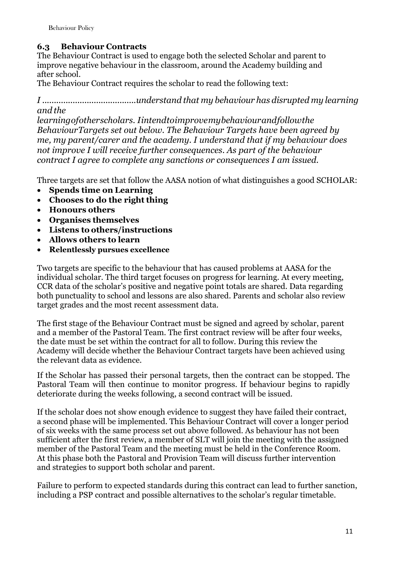## **6.3 Behaviour Contracts**

The Behaviour Contract is used to engage both the selected Scholar and parent to improve negative behaviour in the classroom, around the Academy building and after school.

The Behaviour Contract requires the scholar to read the following text:

*I ........................................understand that my behaviour has disrupted my learning and the*

*learningofotherscholars. Iintendtoimprovemybehaviourandfollowthe BehaviourTargets set out below. The Behaviour Targets have been agreed by me, my parent/carer and the academy. I understand that if my behaviour does not improve I will receive further consequences. As part of the behaviour contract I agree to complete any sanctions or consequences I am issued.*

Three targets are set that follow the AASA notion of what distinguishes a good SCHOLAR:

- **Spends time on Learning**
- **Chooses to do the right thing**
- **Honours others**
- **Organises themselves**
- **Listens to others/instructions**
- **Allows others to learn**
- **Relentlessly pursues excellence**

Two targets are specific to the behaviour that has caused problems at AASA for the individual scholar. The third target focuses on progress for learning. At every meeting, CCR data of the scholar's positive and negative point totals are shared. Data regarding both punctuality to school and lessons are also shared. Parents and scholar also review target grades and the most recent assessment data.

The first stage of the Behaviour Contract must be signed and agreed by scholar, parent and a member of the Pastoral Team. The first contract review will be after four weeks, the date must be set within the contract for all to follow. During this review the Academy will decide whether the Behaviour Contract targets have been achieved using the relevant data as evidence.

If the Scholar has passed their personal targets, then the contract can be stopped. The Pastoral Team will then continue to monitor progress. If behaviour begins to rapidly deteriorate during the weeks following, a second contract will be issued.

If the scholar does not show enough evidence to suggest they have failed their contract, a second phase will be implemented. This Behaviour Contract will cover a longer period of six weeks with the same process set out above followed. As behaviour has not been sufficient after the first review, a member of SLT will join the meeting with the assigned member of the Pastoral Team and the meeting must be held in the Conference Room. At this phase both the Pastoral and Provision Team will discuss further intervention and strategies to support both scholar and parent.

Failure to perform to expected standards during this contract can lead to further sanction, including a PSP contract and possible alternatives to the scholar's regular timetable.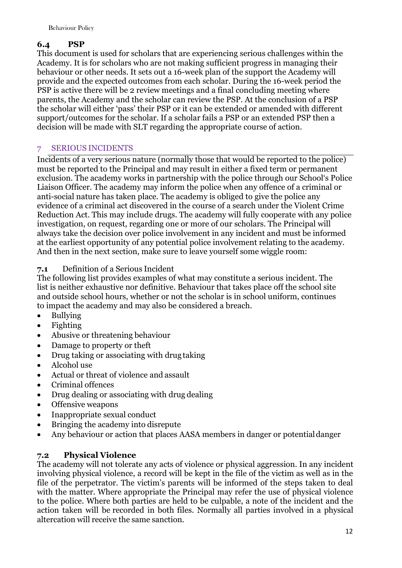## **6.4 PSP**

This document is used for scholars that are experiencing serious challenges within the Academy. It is for scholars who are not making sufficient progress in managing their behaviour or other needs. It sets out a 16-week plan of the support the Academy will provide and the expected outcomes from each scholar. During the 16-week period the PSP is active there will be 2 review meetings and a final concluding meeting where parents, the Academy and the scholar can review the PSP. At the conclusion of a PSP the scholar will either 'pass' their PSP or it can be extended or amended with different support/outcomes for the scholar. If a scholar fails a PSP or an extended PSP then a decision will be made with SLT regarding the appropriate course of action.

## 7 SERIOUS INCIDENTS

Incidents of a very serious nature (normally those that would be reported to the police) must be reported to the Principal and may result in either a fixed term or permanent exclusion. The academy works in partnership with the police through our School's Police Liaison Officer. The academy may inform the police when any offence of a criminal or anti-social nature has taken place. The academy is obliged to give the police any evidence of a criminal act discovered in the course of a search under the Violent Crime Reduction Act. This may include drugs. The academy will fully cooperate with any police investigation, on request, regarding one or more of our scholars. The Principal will always take the decision over police involvement in any incident and must be informed at the earliest opportunity of any potential police involvement relating to the academy. And then in the next section, make sure to leave yourself some wiggle room:

## **7.1** Definition of a Serious Incident

The following list provides examples of what may constitute a serious incident. The list is neither exhaustive nor definitive. Behaviour that takes place off the school site and outside school hours, whether or not the scholar is in school uniform, continues to impact the academy and may also be considered a breach.

- Bullying
- Fighting
- Abusive or threatening behaviour
- Damage to property or theft
- Drug taking or associating with drug taking
- Alcohol use
- Actual or threat of violence and assault
- Criminal offences
- Drug dealing or associating with drug dealing
- Offensive weapons
- Inappropriate sexual conduct
- Bringing the academy into disrepute
- Any behaviour or action that places AASA members in danger or potential danger

## **7.2 Physical Violence**

The academy will not tolerate any acts of violence or physical aggression. In any incident involving physical violence, a record will be kept in the file of the victim as well as in the file of the perpetrator. The victim's parents will be informed of the steps taken to deal with the matter. Where appropriate the Principal may refer the use of physical violence to the police. Where both parties are held to be culpable, a note of the incident and the action taken will be recorded in both files. Normally all parties involved in a physical altercation will receive the same sanction.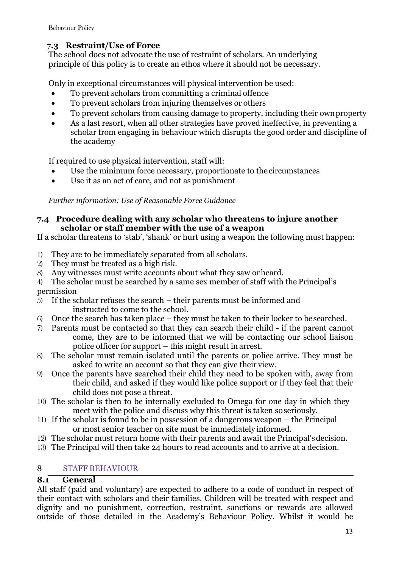## **7.3 Restraint/Use of Force**

The school does not advocate the use of restraint of scholars. An underlying principle of this policy is to create an ethos where it should not be necessary.

Only in exceptional circumstances will physical intervention be used:

- To prevent scholars from committing a criminal offence
- To prevent scholars from injuring themselves or others
- To prevent scholars from causing damage to property, including their ownproperty
- As a last resort, when all other strategies have proved ineffective, in preventing a scholar from engaging in behaviour which disrupts the good order and discipline of the academy

If required to use physical intervention, staff will:

- Use the minimum force necessary, proportionate to the circumstances
- Use it as an act of care, and not as punishment

*Further information: Use of Reasonable Force Guidance*

## **7.4 Procedure dealing with any scholar who threatens to injure another scholar or staff member with the use of a weapon**

If a scholar threatens to 'stab', 'shank' or hurt using a weapon the following must happen:

- 1) They are to be immediately separated from all scholars.
- 2) They must be treated as a high risk.
- 3) Any witnesses must write accounts about what they saw orheard.
- 4) The scholar must be searched by a same sex member of staff with the Principal's permission
- 5) If the scholar refuses the search their parents must be informed and instructed to come to the school.
- 6) Once the search has taken place they must be taken to their locker to besearched.
- 7) Parents must be contacted so that they can search their child if the parent cannot come, they are to be informed that we will be contacting our school liaison police officer for support – this might result in arrest.
- 8) The scholar must remain isolated until the parents or police arrive. They must be asked to write an account so that they can give their view.
- 9) Once the parents have searched their child they need to be spoken with, away from their child, and asked if they would like police support or if they feel that their child does not pose a threat.
- 10) The scholar is then to be internally excluded to Omega for one day in which they meet with the police and discuss why this threat is taken soseriously.
- 11) If the scholar is found to be in possession of a dangerous weapon the Principal or most senior teacher on site must be immediately informed.
- 12) The scholar must return home with their parents and await the Principal'sdecision.
- 13) The Principal will then take 24 hours to read accounts and to arrive at a decision.

## 8 STAFF BEHAVIOUR

## **8.1 General**

All staff (paid and voluntary) are expected to adhere to a code of conduct in respect of their contact with scholars and their families. Children will be treated with respect and dignity and no punishment, correction, restraint, sanctions or rewards are allowed outside of those detailed in the Academy's Behaviour Policy. Whilst it would be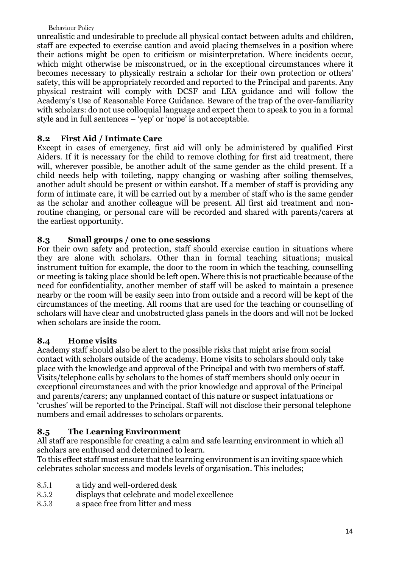unrealistic and undesirable to preclude all physical contact between adults and children, staff are expected to exercise caution and avoid placing themselves in a position where their actions might be open to criticism or misinterpretation. Where incidents occur, which might otherwise be misconstrued, or in the exceptional circumstances where it becomes necessary to physically restrain a scholar for their own protection or others' safety, this will be appropriately recorded and reported to the Principal and parents. Any physical restraint will comply with DCSF and LEA guidance and will follow the Academy's Use of Reasonable Force Guidance. Beware of the trap of the over-familiarity with scholars: do not use colloquial language and expect them to speak to you in a formal style and in full sentences – 'yep' or 'nope' is not acceptable.

## **8.2 First Aid / Intimate Care**

Except in cases of emergency, first aid will only be administered by qualified First Aiders. If it is necessary for the child to remove clothing for first aid treatment, there will, wherever possible, be another adult of the same gender as the child present. If a child needs help with toileting, nappy changing or washing after soiling themselves, another adult should be present or within earshot. If a member of staff is providing any form of intimate care, it will be carried out by a member of staff who is the same gender as the scholar and another colleague will be present. All first aid treatment and nonroutine changing, or personal care will be recorded and shared with parents/carers at the earliest opportunity.

## **8.3 Small groups / one to one sessions**

For their own safety and protection, staff should exercise caution in situations where they are alone with scholars. Other than in formal teaching situations; musical instrument tuition for example, the door to the room in which the teaching, counselling or meeting is taking place should be left open. Where this is not practicable because of the need for confidentiality, another member of staff will be asked to maintain a presence nearby or the room will be easily seen into from outside and a record will be kept of the circumstances of the meeting. All rooms that are used for the teaching or counselling of scholars will have clear and unobstructed glass panels in the doors and will not be locked when scholars are inside the room.

## **8.4 Home visits**

Academy staff should also be alert to the possible risks that might arise from social contact with scholars outside of the academy. Home visits to scholars should only take place with the knowledge and approval of the Principal and with two members of staff. Visits/telephone calls by scholars to the homes of staff members should only occur in exceptional circumstances and with the prior knowledge and approval of the Principal and parents/carers; any unplanned contact of this nature or suspect infatuations or 'crushes' will be reported to the Principal. Staff will not disclose their personal telephone numbers and email addresses to scholars or parents.

## **8.5 The Learning Environment**

All staff are responsible for creating a calm and safe learning environment in which all scholars are enthused and determined to learn.

To this effect staff must ensure that the learning environment is an inviting space which celebrates scholar success and models levels of organisation. This includes;

- 8.5.1 a tidy and well-ordered desk
- 8.5.2 displays that celebrate and model excellence
- 8.5.3 a space free from litter and mess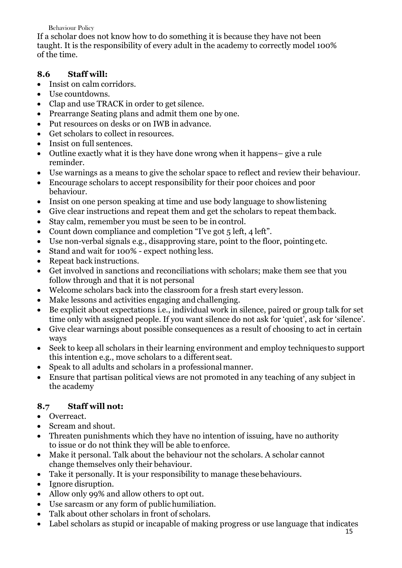If a scholar does not know how to do something it is because they have not been taught. It is the responsibility of every adult in the academy to correctly model 100% of the time.

## **8.6 Staff will:**

- Insist on calm corridors.
- Use countdowns.
- Clap and use TRACK in order to get silence.
- Prearrange Seating plans and admit them one by one.
- Put resources on desks or on IWB in advance.
- Get scholars to collect in resources.
- Insist on full sentences.
- Outline exactly what it is they have done wrong when it happens– give a rule reminder.
- Use warnings as a means to give the scholar space to reflect and review their behaviour.
- Encourage scholars to accept responsibility for their poor choices and poor behaviour.
- Insist on one person speaking at time and use body language to showlistening
- Give clear instructions and repeat them and get the scholars to repeat themback.
- Stay calm, remember you must be seen to be in control.
- Count down compliance and completion "I've got 5 left, 4 left".
- Use non-verbal signals e.g., disapproving stare, point to the floor, pointingetc.
- Stand and wait for 100% expect nothing less.
- Repeat back instructions.
- Get involved in sanctions and reconciliations with scholars; make them see that you follow through and that it is not personal
- Welcome scholars back into the classroom for a fresh start every lesson.
- Make lessons and activities engaging and challenging.
- Be explicit about expectations i.e., individual work in silence, paired or group talk for set time only with assigned people. If you want silence do not ask for 'quiet', ask for 'silence'.
- Give clear warnings about possible consequences as a result of choosing to act in certain ways
- Seek to keep all scholars in their learning environment and employ techniques to support this intention e.g., move scholars to a different seat.
- Speak to all adults and scholars in a professional manner.
- Ensure that partisan political views are not promoted in any teaching of any subject in the academy

## **8.7 Staff will not:**

- Overreact.
- Scream and shout.
- Threaten punishments which they have no intention of issuing, have no authority to issue or do not think they will be able to enforce.
- Make it personal. Talk about the behaviour not the scholars. A scholar cannot change themselves only their behaviour.
- Take it personally. It is your responsibility to manage these behaviours.
- Ignore disruption.
- Allow only 99% and allow others to opt out.
- Use sarcasm or any form of public humiliation.
- Talk about other scholars in front of scholars.
- Label scholars as stupid or incapable of making progress or use language that indicates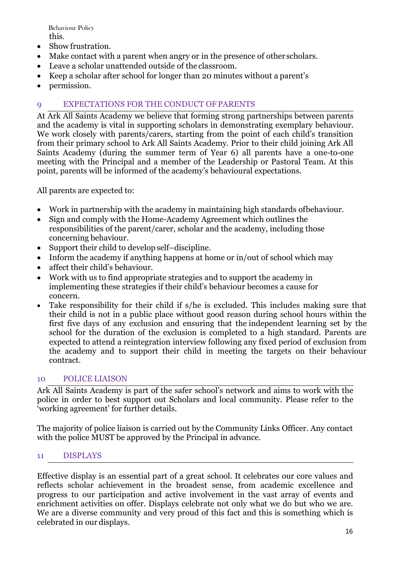Behaviour Policy this.

- Show frustration.
- Make contact with a parent when angry or in the presence of other scholars.
- Leave a scholar unattended outside of the classroom.
- Keep a scholar after school for longer than 20 minutes without a parent's
- permission.

## 9 EXPECTATIONS FOR THE CONDUCT OFPARENTS

At Ark All Saints Academy we believe that forming strong partnerships between parents and the academy is vital in supporting scholars in demonstrating exemplary behaviour. We work closely with parents/carers, starting from the point of each child's transition from their primary school to Ark All Saints Academy. Prior to their child joining Ark All Saints Academy (during the summer term of Year 6) all parents have a one-to-one meeting with the Principal and a member of the Leadership or Pastoral Team. At this point, parents will be informed of the academy's behavioural expectations.

All parents are expected to:

- Work in partnership with the academy in maintaining high standards ofbehaviour.
- Sign and comply with the Home-Academy Agreement which outlines the responsibilities of the parent/carer, scholar and the academy, including those concerning behaviour.
- Support their child to develop self-discipline.
- Inform the academy if anything happens at home or in/out of school which may
- affect their child's behaviour.
- Work with us to find appropriate strategies and to support the academy in implementing these strategies if their child's behaviour becomes a cause for concern.
- Take responsibility for their child if s/he is excluded. This includes making sure that their child is not in a public place without good reason during school hours within the first five days of any exclusion and ensuring that the independent learning set by the school for the duration of the exclusion is completed to a high standard. Parents are expected to attend a reintegration interview following any fixed period of exclusion from the academy and to support their child in meeting the targets on their behaviour contract.

#### 10 POLICE LIAISON

Ark All Saints Academy is part of the safer school's network and aims to work with the police in order to best support out Scholars and local community. Please refer to the 'working agreement' for further details.

The majority of police liaison is carried out by the Community Links Officer. Any contact with the police MUST be approved by the Principal in advance.

## 11 DISPLAYS

Effective display is an essential part of a great school. It celebrates our core values and reflects scholar achievement in the broadest sense, from academic excellence and progress to our participation and active involvement in the vast array of events and enrichment activities on offer. Displays celebrate not only what we do but who we are. We are a diverse community and very proud of this fact and this is something which is celebrated in our displays.